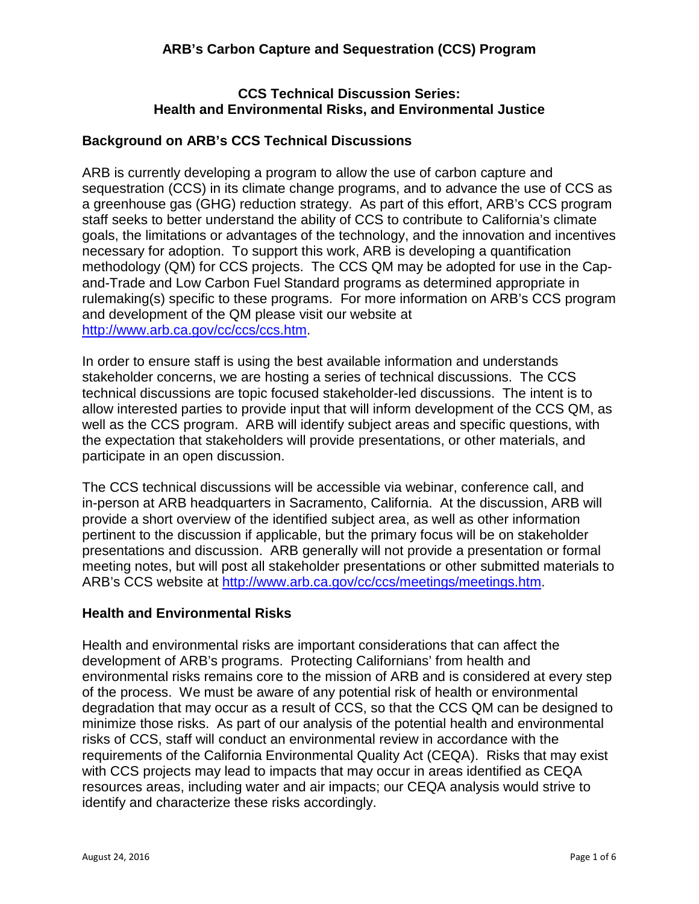## **CCS Technical Discussion Series: Health and Environmental Risks, and Environmental Justice**

## **Background on ARB's CCS Technical Discussions**

ARB is currently developing a program to allow the use of carbon capture and sequestration (CCS) in its climate change programs, and to advance the use of CCS as a greenhouse gas (GHG) reduction strategy. As part of this effort, ARB's CCS program staff seeks to better understand the ability of CCS to contribute to California's climate goals, the limitations or advantages of the technology, and the innovation and incentives necessary for adoption. To support this work, ARB is developing a quantification methodology (QM) for CCS projects. The CCS QM may be adopted for use in the Capand-Trade and Low Carbon Fuel Standard programs as determined appropriate in rulemaking(s) specific to these programs. For more information on ARB's CCS program and development of the QM please visit our website at [http://www.arb.ca.gov/cc/ccs/ccs.htm.](http://www.arb.ca.gov/cc/ccs/ccs.htm)

In order to ensure staff is using the best available information and understands stakeholder concerns, we are hosting a series of technical discussions. The CCS technical discussions are topic focused stakeholder-led discussions. The intent is to allow interested parties to provide input that will inform development of the CCS QM, as well as the CCS program. ARB will identify subject areas and specific questions, with the expectation that stakeholders will provide presentations, or other materials, and participate in an open discussion.

The CCS technical discussions will be accessible via webinar, conference call, and in-person at ARB headquarters in Sacramento, California. At the discussion, ARB will provide a short overview of the identified subject area, as well as other information pertinent to the discussion if applicable, but the primary focus will be on stakeholder presentations and discussion. ARB generally will not provide a presentation or formal meeting notes, but will post all stakeholder presentations or other submitted materials to ARB's CCS website at [http://www.arb.ca.gov/cc/ccs/meetings/meetings.htm.](http://www.arb.ca.gov/cc/ccs/meetings/meetings.htm)

## **Health and Environmental Risks**

Health and environmental risks are important considerations that can affect the development of ARB's programs. Protecting Californians' from health and environmental risks remains core to the mission of ARB and is considered at every step of the process. We must be aware of any potential risk of health or environmental degradation that may occur as a result of CCS, so that the CCS QM can be designed to minimize those risks. As part of our analysis of the potential health and environmental risks of CCS, staff will conduct an environmental review in accordance with the requirements of the California Environmental Quality Act (CEQA). Risks that may exist with CCS projects may lead to impacts that may occur in areas identified as CEQA resources areas, including water and air impacts; our CEQA analysis would strive to identify and characterize these risks accordingly.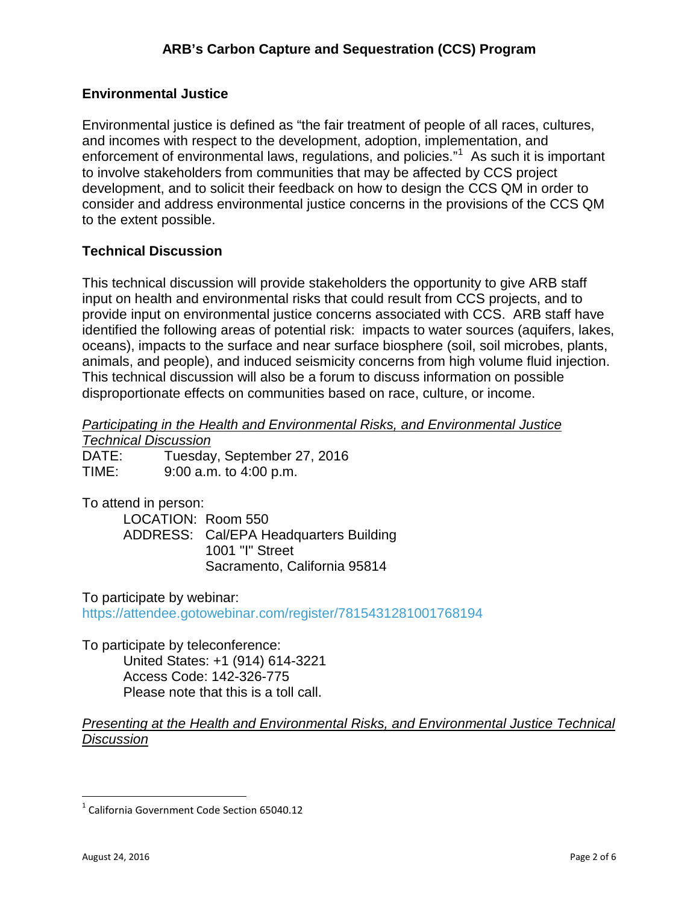# **Environmental Justice**

Environmental justice is defined as "the fair treatment of people of all races, cultures, and incomes with respect to the development, adoption, implementation, and enforcement of environmental laws, regulations, and policies."<sup>[1](#page-1-0)</sup> As such it is important to involve stakeholders from communities that may be affected by CCS project development, and to solicit their feedback on how to design the CCS QM in order to consider and address environmental justice concerns in the provisions of the CCS QM to the extent possible.

## **Technical Discussion**

This technical discussion will provide stakeholders the opportunity to give ARB staff input on health and environmental risks that could result from CCS projects, and to provide input on environmental justice concerns associated with CCS. ARB staff have identified the following areas of potential risk: impacts to water sources (aquifers, lakes, oceans), impacts to the surface and near surface biosphere (soil, soil microbes, plants, animals, and people), and induced seismicity concerns from high volume fluid injection. This technical discussion will also be a forum to discuss information on possible disproportionate effects on communities based on race, culture, or income.

*Participating in the Health and Environmental Risks, and Environmental Justice*

*Technical Discussion*

DATE: Tuesday, September 27, 2016 TIME: 9:00 a.m. to 4:00 p.m.

To attend in person:

LOCATION: Room 550 ADDRESS: Cal/EPA Headquarters Building 1001 "I" Street Sacramento, California 95814

To participate by webinar:

<https://attendee.gotowebinar.com/register/7815431281001768194>

To participate by teleconference: United States: +1 (914) 614-3221 Access Code: 142-326-775 Please note that this is a toll call.

#### *Presenting at the Health and Environmental Risks, and Environmental Justice Technical Discussion*

l

<span id="page-1-0"></span> $1$  California Government Code Section 65040.12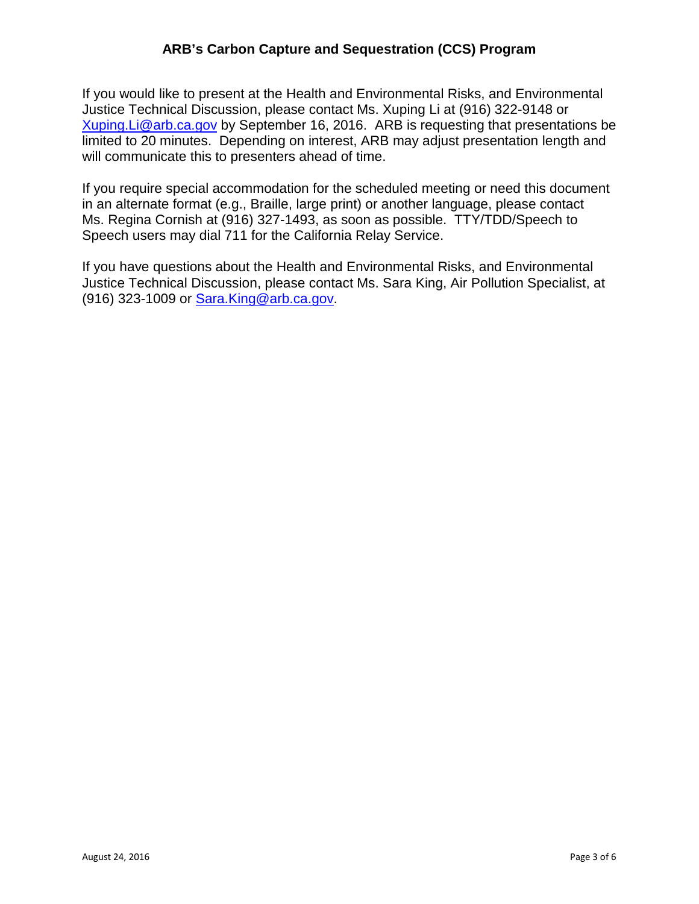# **ARB's Carbon Capture and Sequestration (CCS) Program**

If you would like to present at the Health and Environmental Risks, and Environmental Justice Technical Discussion, please contact Ms. Xuping Li at (916) 322-9148 or [Xuping.Li@arb.ca.gov](mailto:Xuping.Li@arb.ca.gov) by September 16, 2016. ARB is requesting that presentations be limited to 20 minutes. Depending on interest, ARB may adjust presentation length and will communicate this to presenters ahead of time.

If you require special accommodation for the scheduled meeting or need this document in an alternate format (e.g., Braille, large print) or another language, please contact Ms. Regina Cornish at (916) 327-1493, as soon as possible. TTY/TDD/Speech to Speech users may dial 711 for the California Relay Service.

If you have questions about the Health and Environmental Risks, and Environmental Justice Technical Discussion, please contact Ms. Sara King, Air Pollution Specialist, at (916) 323-1009 or [Sara.King@arb.ca.gov.](mailto:Sara.King@arb.ca.gov)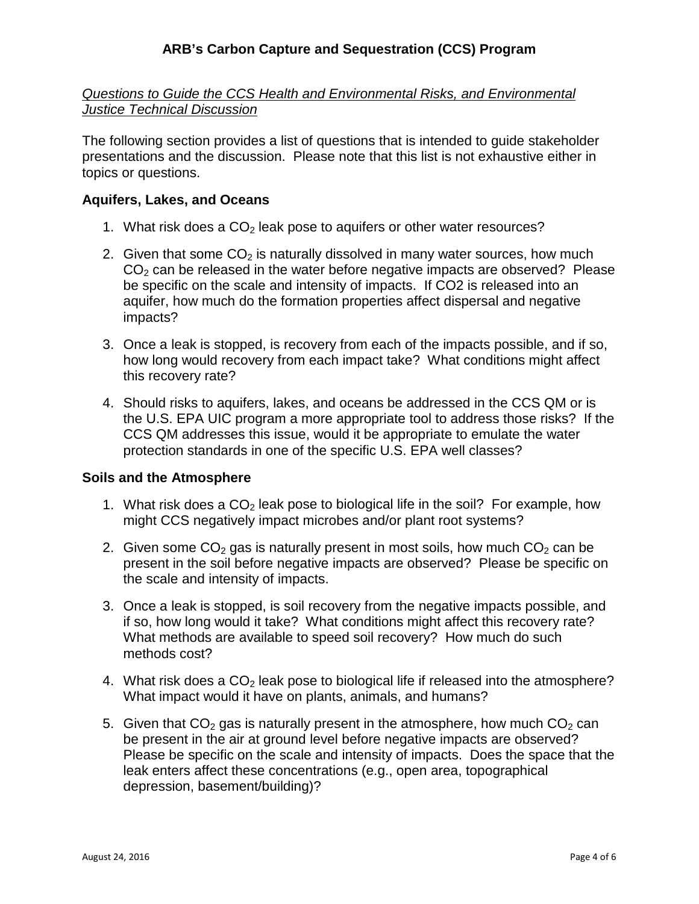*Questions to Guide the CCS Health and Environmental Risks, and Environmental Justice Technical Discussion*

The following section provides a list of questions that is intended to guide stakeholder presentations and the discussion. Please note that this list is not exhaustive either in topics or questions.

### **Aquifers, Lakes, and Oceans**

- 1. What risk does a  $CO<sub>2</sub>$  leak pose to aquifers or other water resources?
- 2. Given that some  $CO<sub>2</sub>$  is naturally dissolved in many water sources, how much  $CO<sub>2</sub>$  can be released in the water before negative impacts are observed? Please be specific on the scale and intensity of impacts. If CO2 is released into an aquifer, how much do the formation properties affect dispersal and negative impacts?
- 3. Once a leak is stopped, is recovery from each of the impacts possible, and if so, how long would recovery from each impact take? What conditions might affect this recovery rate?
- 4. Should risks to aquifers, lakes, and oceans be addressed in the CCS QM or is the U.S. EPA UIC program a more appropriate tool to address those risks? If the CCS QM addresses this issue, would it be appropriate to emulate the water protection standards in one of the specific U.S. EPA well classes?

#### **Soils and the Atmosphere**

- 1. What risk does a  $CO<sub>2</sub>$  leak pose to biological life in the soil? For example, how might CCS negatively impact microbes and/or plant root systems?
- 2. Given some  $CO<sub>2</sub>$  gas is naturally present in most soils, how much  $CO<sub>2</sub>$  can be present in the soil before negative impacts are observed? Please be specific on the scale and intensity of impacts.
- 3. Once a leak is stopped, is soil recovery from the negative impacts possible, and if so, how long would it take? What conditions might affect this recovery rate? What methods are available to speed soil recovery? How much do such methods cost?
- 4. What risk does a  $CO<sub>2</sub>$  leak pose to biological life if released into the atmosphere? What impact would it have on plants, animals, and humans?
- 5. Given that  $CO<sub>2</sub>$  gas is naturally present in the atmosphere, how much  $CO<sub>2</sub>$  can be present in the air at ground level before negative impacts are observed? Please be specific on the scale and intensity of impacts. Does the space that the leak enters affect these concentrations (e.g., open area, topographical depression, basement/building)?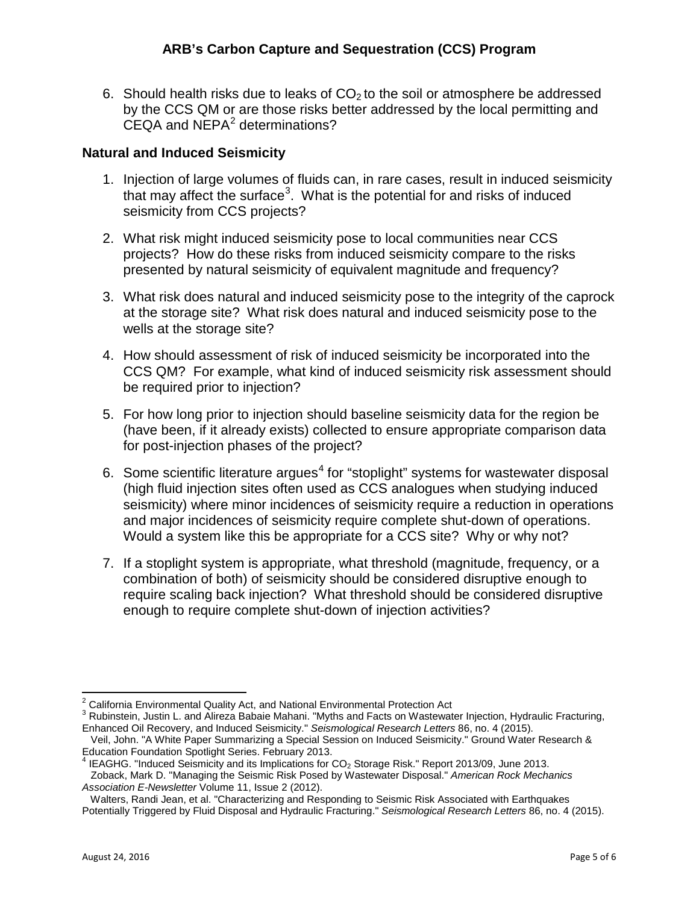6. Should health risks due to leaks of  $CO<sub>2</sub>$  to the soil or atmosphere be addressed by the CCS QM or are those risks better addressed by the local permitting and  $CEQA$  and  $NEPA<sup>2</sup>$  $NEPA<sup>2</sup>$  $NEPA<sup>2</sup>$  determinations?

## **Natural and Induced Seismicity**

- 1. Injection of large volumes of fluids can, in rare cases, result in induced seismicity that may affect the surface<sup>[3](#page-4-1)</sup>. What is the potential for and risks of induced seismicity from CCS projects?
- 2. What risk might induced seismicity pose to local communities near CCS projects? How do these risks from induced seismicity compare to the risks presented by natural seismicity of equivalent magnitude and frequency?
- 3. What risk does natural and induced seismicity pose to the integrity of the caprock at the storage site? What risk does natural and induced seismicity pose to the wells at the storage site?
- 4. How should assessment of risk of induced seismicity be incorporated into the CCS QM? For example, what kind of induced seismicity risk assessment should be required prior to injection?
- 5. For how long prior to injection should baseline seismicity data for the region be (have been, if it already exists) collected to ensure appropriate comparison data for post-injection phases of the project?
- 6. Some scientific literature argues<sup>[4](#page-4-2)</sup> for "stoplight" systems for wastewater disposal (high fluid injection sites often used as CCS analogues when studying induced seismicity) where minor incidences of seismicity require a reduction in operations and major incidences of seismicity require complete shut-down of operations. Would a system like this be appropriate for a CCS site? Why or why not?
- 7. If a stoplight system is appropriate, what threshold (magnitude, frequency, or a combination of both) of seismicity should be considered disruptive enough to require scaling back injection? What threshold should be considered disruptive enough to require complete shut-down of injection activities?

<span id="page-4-0"></span><sup>&</sup>lt;sup>2</sup> California Environmental Quality Act, and National Environmental Protection Act

<span id="page-4-1"></span><sup>&</sup>lt;sup>3</sup> Rubinstein, Justin L. and Alireza Babaie Mahani. "Myths and Facts on Wastewater Injection, Hydraulic Fracturing, Enhanced Oil Recovery, and Induced Seismicity." *Seismological Research Letters* 86, no. 4 (2015).

Veil, John. "A White Paper Summarizing a Special Session on Induced Seismicity." Ground Water Research & Education Foundation Spotlight Series. February 2013.

<span id="page-4-2"></span> $^4$  IEAGHG. "Induced Seismicity and its Implications for CO<sub>2</sub> Storage Risk." Report 2013/09, June 2013. Zoback, Mark D. "Managing the Seismic Risk Posed by Wastewater Disposal." *American Rock Mechanics Association E-Newsletter* Volume 11, Issue 2 (2012).

Walters, Randi Jean, et al. "Characterizing and Responding to Seismic Risk Associated with Earthquakes Potentially Triggered by Fluid Disposal and Hydraulic Fracturing." *Seismological Research Letters* 86, no. 4 (2015).